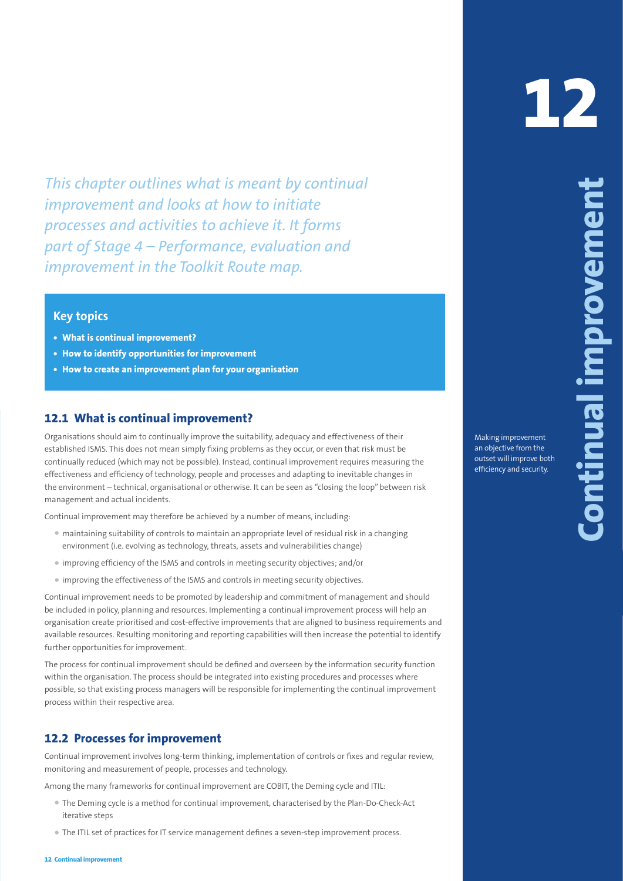This chapter outlines what is meant by continual improvement<br>improvement and coloristic is the chiractic interest.<br> **12** processes and activities to achieve it. It forms<br>
processes and activities to achieve it. It forms<br> *This chapter outlines what is meant by continual improvement and looks at how to initiate processes and activities to achieve it. It forms part of Stage 4 – Performance, evaluation and improvement in the Toolkit Route map.*

# **Key topics**

- **• What is continual improvement?**
- **• How to identify opportunities for improvement**
- **• How to create an improvement plan for your organisation**

# **12.1 What is continual improvement?**

Organisations should aim to continually improve the suitability, adequacy and effectiveness of their established ISMS. This does not mean simply fixing problems as they occur, or even that risk must be continually reduced (which may not be possible). Instead, continual improvement requires measuring the effectiveness and efficiency of technology, people and processes and adapting to inevitable changes in the environment – technical, organisational or otherwise. It can be seen as "closing the loop" between risk management and actual incidents.

Continual improvement may therefore be achieved by a number of means, including:

- maintaining suitability of controls to maintain an appropriate level of residual risk in a changing environment (i.e. evolving as technology, threats, assets and vulnerabilities change)
- improving efficiency of the ISMS and controls in meeting security objectives; and/or
- improving the effectiveness of the ISMS and controls in meeting security objectives.

Continual improvement needs to be promoted by leadership and commitment of management and should be included in policy, planning and resources. Implementing a continual improvement process will help an organisation create prioritised and cost-effective improvements that are aligned to business requirements and available resources. Resulting monitoring and reporting capabilities will then increase the potential to identify further opportunities for improvement.

The process for continual improvement should be defined and overseen by the information security function within the organisation. The process should be integrated into existing procedures and processes where possible, so that existing process managers will be responsible for implementing the continual improvement process within their respective area.

### **12.2 Processes for improvement**

Continual improvement involves long-term thinking, implementation of controls or fixes and regular review, monitoring and measurement of people, processes and technology.

Among the many frameworks for continual improvement are COBIT, the Deming cycle and ITIL:

- The Deming cycle is a method for continual improvement, characterised by the Plan-Do-Check-Act iterative steps
- The ITIL set of practices for IT service management defines a seven-step improvement process.

Making improvement an objective from the outset will improve both efficiency and security.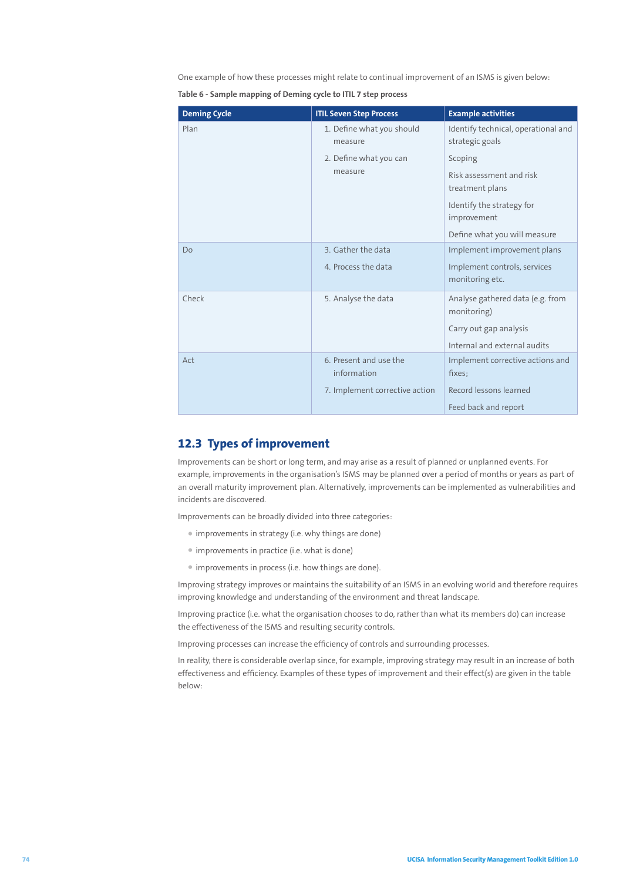One example of how these processes might relate to continual improvement of an ISMS is given below:

**Table 6 - Sample mapping of Deming cycle to ITIL 7 step process**

| <b>Deming Cycle</b> | <b>ITIL Seven Step Process</b>        | <b>Example activities</b>                              |
|---------------------|---------------------------------------|--------------------------------------------------------|
| Plan                | 1. Define what you should<br>measure  | Identify technical, operational and<br>strategic goals |
|                     | 2. Define what you can<br>measure     | Scoping                                                |
|                     |                                       | Risk assessment and risk<br>treatment plans            |
|                     |                                       | Identify the strategy for<br>improvement               |
|                     |                                       | Define what you will measure                           |
| Do                  | 3. Gather the data                    | Implement improvement plans                            |
|                     | 4. Process the data                   | Implement controls, services<br>monitoring etc.        |
| Check               | 5. Analyse the data                   | Analyse gathered data (e.g. from<br>monitoring)        |
|                     |                                       | Carry out gap analysis                                 |
|                     |                                       | Internal and external audits                           |
| Act                 | 6. Present and use the<br>information | Implement corrective actions and<br>fixes:             |
|                     | 7. Implement corrective action        | Record lessons learned                                 |
|                     |                                       | Feed back and report                                   |

## **12.3 Types of improvement**

Improvements can be short or long term, and may arise as a result of planned or unplanned events. For example, improvements in the organisation's ISMS may be planned over a period of months or years as part of an overall maturity improvement plan. Alternatively, improvements can be implemented as vulnerabilities and incidents are discovered.

Improvements can be broadly divided into three categories:

- improvements in strategy (i.e. why things are done)
- improvements in practice (i.e. what is done)
- improvements in process (i.e. how things are done).

Improving strategy improves or maintains the suitability of an ISMS in an evolving world and therefore requires improving knowledge and understanding of the environment and threat landscape.

Improving practice (i.e. what the organisation chooses to do, rather than what its members do) can increase the effectiveness of the ISMS and resulting security controls.

Improving processes can increase the efficiency of controls and surrounding processes.

In reality, there is considerable overlap since, for example, improving strategy may result in an increase of both effectiveness and efficiency. Examples of these types of improvement and their effect(s) are given in the table below: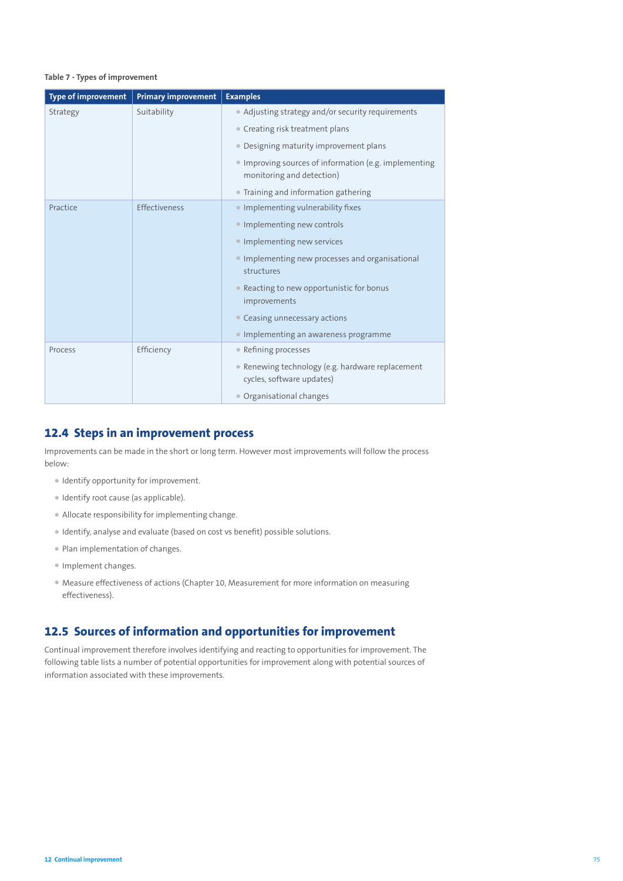#### **Table 7 - Types of improvement**

| <b>Type of improvement</b> | <b>Primary improvement</b> | <b>Examples</b>                                                                    |
|----------------------------|----------------------------|------------------------------------------------------------------------------------|
| Strategy                   | Suitability                | • Adjusting strategy and/or security requirements                                  |
|                            |                            | • Creating risk treatment plans                                                    |
|                            |                            | • Designing maturity improvement plans                                             |
|                            |                            | • Improving sources of information (e.g. implementing<br>monitoring and detection) |
|                            |                            | • Training and information gathering                                               |
| Practice                   | Effectiveness              | • Implementing vulnerability fixes                                                 |
|                            |                            | • Implementing new controls                                                        |
|                            |                            | • Implementing new services                                                        |
|                            |                            | • Implementing new processes and organisational<br>structures                      |
|                            |                            | • Reacting to new opportunistic for bonus<br>improvements                          |
|                            |                            | • Ceasing unnecessary actions                                                      |
|                            |                            | • Implementing an awareness programme                                              |
| Process                    | Efficiency                 | • Refining processes                                                               |
|                            |                            | • Renewing technology (e.g. hardware replacement<br>cycles, software updates)      |
|                            |                            | • Organisational changes                                                           |

### **12.4 Steps in an improvement process**

Improvements can be made in the short or long term. However most improvements will follow the process below:

- Identify opportunity for improvement.
- Identify root cause (as applicable).
- Allocate responsibility for implementing change.
- Identify, analyse and evaluate (based on cost vs benefit) possible solutions.
- Plan implementation of changes.
- Implement changes.
- Measure effectiveness of actions (Chapter 10, Measurement for more information on measuring effectiveness).

## **12.5 Sources of information and opportunities for improvement**

Continual improvement therefore involves identifying and reacting to opportunities for improvement. The following table lists a number of potential opportunities for improvement along with potential sources of information associated with these improvements.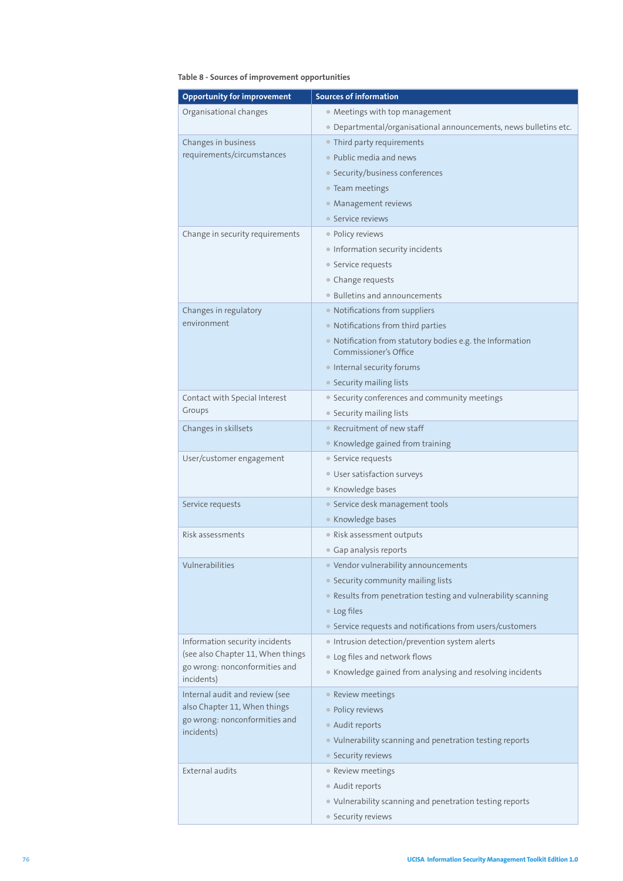### **Table 8 - Sources of improvement opportunities**

| <b>Opportunity for improvement</b>          | <b>Sources of information</b>                                                                             |
|---------------------------------------------|-----------------------------------------------------------------------------------------------------------|
| Organisational changes                      | • Meetings with top management                                                                            |
|                                             | • Departmental/organisational announcements, news bulletins etc.                                          |
| Changes in business                         | • Third party requirements                                                                                |
| requirements/circumstances                  | • Public media and news                                                                                   |
|                                             | • Security/business conferences                                                                           |
|                                             | • Team meetings                                                                                           |
|                                             | • Management reviews                                                                                      |
|                                             | • Service reviews                                                                                         |
| Change in security requirements             | • Policy reviews                                                                                          |
|                                             | • Information security incidents                                                                          |
|                                             | • Service requests                                                                                        |
|                                             | • Change requests                                                                                         |
|                                             | • Bulletins and announcements                                                                             |
| Changes in regulatory                       | • Notifications from suppliers                                                                            |
| environment                                 | • Notifications from third parties                                                                        |
|                                             | • Notification from statutory bodies e.g. the Information                                                 |
|                                             | Commissioner's Office                                                                                     |
|                                             | • Internal security forums                                                                                |
|                                             | • Security mailing lists                                                                                  |
| Contact with Special Interest               | • Security conferences and community meetings                                                             |
| Groups                                      | • Security mailing lists                                                                                  |
| Changes in skillsets                        | • Recruitment of new staff                                                                                |
|                                             | • Knowledge gained from training                                                                          |
| User/customer engagement                    | • Service requests                                                                                        |
|                                             | • User satisfaction surveys                                                                               |
|                                             | • Knowledge bases                                                                                         |
| Service requests                            | • Service desk management tools                                                                           |
|                                             | • Knowledge bases                                                                                         |
| Risk assessments                            | • Risk assessment outputs                                                                                 |
| Vulnerabilities                             | • Gap analysis reports                                                                                    |
|                                             | · Vendor vulnerability announcements                                                                      |
|                                             | • Security community mailing lists                                                                        |
|                                             | • Results from penetration testing and vulnerability scanning                                             |
|                                             | • Log files                                                                                               |
| Information security incidents              | • Service requests and notifications from users/customers<br>Intrusion detection/prevention system alerts |
| (see also Chapter 11, When things           | . Log files and network flows                                                                             |
| go wrong: nonconformities and               | • Knowledge gained from analysing and resolving incidents                                                 |
| incidents)                                  |                                                                                                           |
| Internal audit and review (see              | • Review meetings                                                                                         |
| also Chapter 11, When things                | • Policy reviews                                                                                          |
| go wrong: nonconformities and<br>incidents) | • Audit reports                                                                                           |
|                                             | • Vulnerability scanning and penetration testing reports                                                  |
|                                             | • Security reviews                                                                                        |
| <b>External audits</b>                      | • Review meetings                                                                                         |
|                                             | • Audit reports                                                                                           |
|                                             | • Vulnerability scanning and penetration testing reports                                                  |
|                                             | • Security reviews                                                                                        |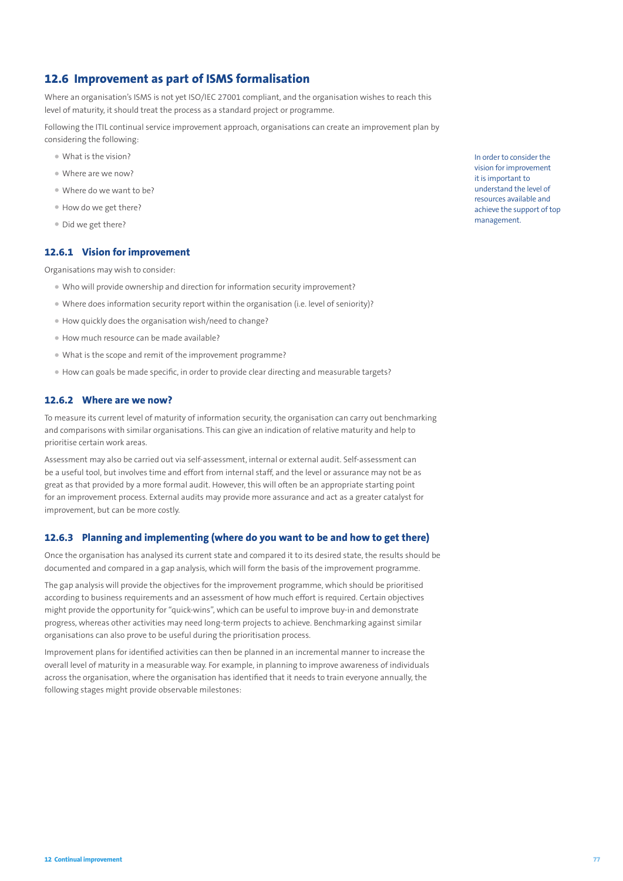### **12.6 Improvement as part of ISMS formalisation**

Where an organisation's ISMS is not yet ISO/IEC 27001 compliant, and the organisation wishes to reach this level of maturity, it should treat the process as a standard project or programme.

Following the ITIL continual service improvement approach, organisations can create an improvement plan by considering the following:

- What is the vision?
- Where are we now?
- Where do we want to be?
- How do we get there?
- Did we get there?

#### **12.6.1 Vision for improvement**

Organisations may wish to consider:

- Who will provide ownership and direction for information security improvement?
- Where does information security report within the organisation (i.e. level of seniority)?
- How quickly does the organisation wish/need to change?
- How much resource can be made available?
- What is the scope and remit of the improvement programme?
- How can goals be made specific, in order to provide clear directing and measurable targets?

#### **12.6.2 Where are we now?**

To measure its current level of maturity of information security, the organisation can carry out benchmarking and comparisons with similar organisations. This can give an indication of relative maturity and help to prioritise certain work areas.

Assessment may also be carried out via self-assessment, internal or external audit. Self-assessment can be a useful tool, but involves time and effort from internal staff, and the level or assurance may not be as great as that provided by a more formal audit. However, this will often be an appropriate starting point for an improvement process. External audits may provide more assurance and act as a greater catalyst for improvement, but can be more costly.

#### **12.6.3 Planning and implementing (where do you want to be and how to get there)**

Once the organisation has analysed its current state and compared it to its desired state, the results should be documented and compared in a gap analysis, which will form the basis of the improvement programme.

The gap analysis will provide the objectives for the improvement programme, which should be prioritised according to business requirements and an assessment of how much effort is required. Certain objectives might provide the opportunity for "quick-wins", which can be useful to improve buy-in and demonstrate progress, whereas other activities may need long-term projects to achieve. Benchmarking against similar organisations can also prove to be useful during the prioritisation process.

Improvement plans for identified activities can then be planned in an incremental manner to increase the overall level of maturity in a measurable way. For example, in planning to improve awareness of individuals across the organisation, where the organisation has identified that it needs to train everyone annually, the following stages might provide observable milestones:

In order to consider the vision for improvement it is important to understand the level of resources available and achieve the support of top management.